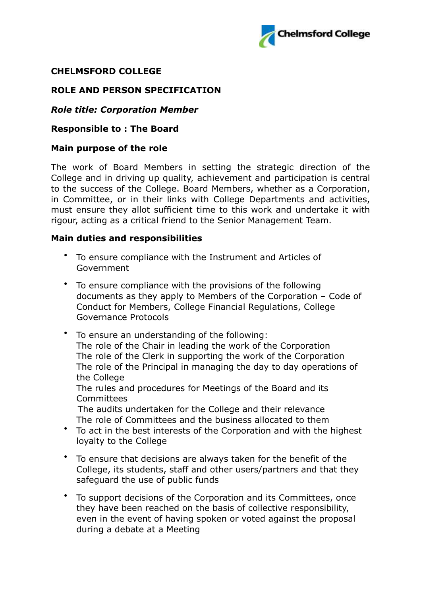

# **CHELMSFORD COLLEGE**

# **ROLE AND PERSON SPECIFICATION**

## *Role title: Corporation Member*

### **Responsible to : The Board**

### **Main purpose of the role**

The work of Board Members in setting the strategic direction of the College and in driving up quality, achievement and participation is central to the success of the College. Board Members, whether as a Corporation, in Committee, or in their links with College Departments and activities, must ensure they allot sufficient time to this work and undertake it with rigour, acting as a critical friend to the Senior Management Team.

### **Main duties and responsibilities**

- To ensure compliance with the Instrument and Articles of Government
- To ensure compliance with the provisions of the following documents as they apply to Members of the Corporation – Code of Conduct for Members, College Financial Regulations, College Governance Protocols
- To ensure an understanding of the following: The role of the Chair in leading the work of the Corporation The role of the Clerk in supporting the work of the Corporation The role of the Principal in managing the day to day operations of the College The rules and procedures for Meetings of the Board and its **Committees**

 The audits undertaken for the College and their relevance The role of Committees and the business allocated to them

- To act in the best interests of the Corporation and with the highest loyalty to the College
- To ensure that decisions are always taken for the benefit of the College, its students, staff and other users/partners and that they safeguard the use of public funds
- To support decisions of the Corporation and its Committees, once they have been reached on the basis of collective responsibility, even in the event of having spoken or voted against the proposal during a debate at a Meeting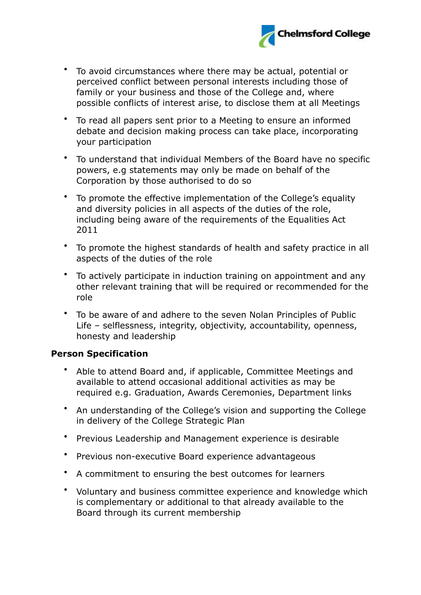

- To avoid circumstances where there may be actual, potential or perceived conflict between personal interests including those of family or your business and those of the College and, where possible conflicts of interest arise, to disclose them at all Meetings
- To read all papers sent prior to a Meeting to ensure an informed debate and decision making process can take place, incorporating your participation
- To understand that individual Members of the Board have no specific powers, e.g statements may only be made on behalf of the Corporation by those authorised to do so
- To promote the effective implementation of the College's equality and diversity policies in all aspects of the duties of the role, including being aware of the requirements of the Equalities Act 2011
- To promote the highest standards of health and safety practice in all aspects of the duties of the role
- To actively participate in induction training on appointment and any other relevant training that will be required or recommended for the role
- To be aware of and adhere to the seven Nolan Principles of Public Life – selflessness, integrity, objectivity, accountability, openness, honesty and leadership

## **Person Specification**

- Able to attend Board and, if applicable, Committee Meetings and available to attend occasional additional activities as may be required e.g. Graduation, Awards Ceremonies, Department links
- An understanding of the College's vision and supporting the College in delivery of the College Strategic Plan
- Previous Leadership and Management experience is desirable
- Previous non-executive Board experience advantageous
- A commitment to ensuring the best outcomes for learners
- Voluntary and business committee experience and knowledge which is complementary or additional to that already available to the Board through its current membership